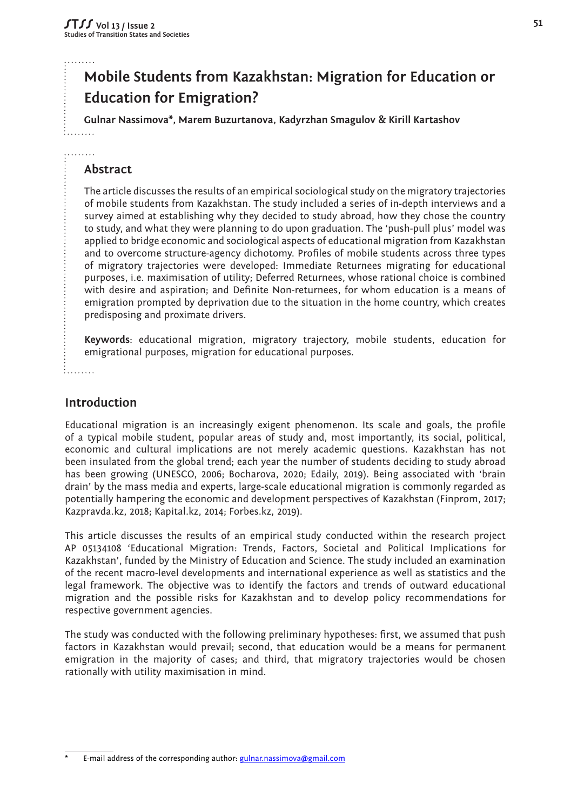# **Mobile Students from Kazakhstan: Migration for Education or Education for Emigration?**

**Gulnar Nassimova\*, Marem Buzurtanova, Kadyrzhan Smagulov & Kirill Kartashov**

## **Abstract**

 $1.1.1.1.1.1$ . . . . . . . . .

> The article discusses the results of an empirical sociological study on the migratory trajectories of mobile students from Kazakhstan. The study included a series of in-depth interviews and a survey aimed at establishing why they decided to study abroad, how they chose the country to study, and what they were planning to do upon graduation. The 'push-pull plus' model was applied to bridge economic and sociological aspects of educational migration from Kazakhstan and to overcome structure-agency dichotomy. Profiles of mobile students across three types of migratory trajectories were developed: Immediate Returnees migrating for educational purposes, i.e. maximisation of utility; Deferred Returnees, whose rational choice is combined with desire and aspiration; and Definite Non-returnees, for whom education is a means of emigration prompted by deprivation due to the situation in the home country, which creates predisposing and proximate drivers.

> **Keywords**: educational migration, migratory trajectory, mobile students, education for emigrational purposes, migration for educational purposes.

 $1. . . . . . . .$ 

## **Introduction**

Educational migration is an increasingly exigent phenomenon. Its scale and goals, the profile of a typical mobile student, popular areas of study and, most importantly, its social, political, economic and cultural implications are not merely academic questions. Kazakhstan has not been insulated from the global trend; each year the number of students deciding to study abroad has been growing (UNESCO, 2006; Bocharova, 2020; Edaily, 2019). Being associated with 'brain drain' by the mass media and experts, large-scale educational migration is commonly regarded as potentially hampering the economic and development perspectives of Kazakhstan (Finprom, 2017; Kazpravda.kz, 2018; Kapital.kz, 2014; Forbes.kz, 2019).

This article discusses the results of an empirical study conducted within the research project AP 05134108 'Educational Migration: Trends, Factors, Societal and Political Implications for Kazakhstan', funded by the Ministry of Education and Science. The study included an examination of the recent macro-level developments and international experience as well as statistics and the legal framework. The objective was to identify the factors and trends of outward educational migration and the possible risks for Kazakhstan and to develop policy recommendations for respective government agencies.

The study was conducted with the following preliminary hypotheses: first, we assumed that push factors in Kazakhstan would prevail; second, that education would be a means for permanent emigration in the majority of cases; and third, that migratory trajectories would be chosen rationally with utility maximisation in mind.

E-mail address of the corresponding author: [gulnar.nassimova@gmail.com](mailto:gulnar.nassimova%40gmail.com?subject=)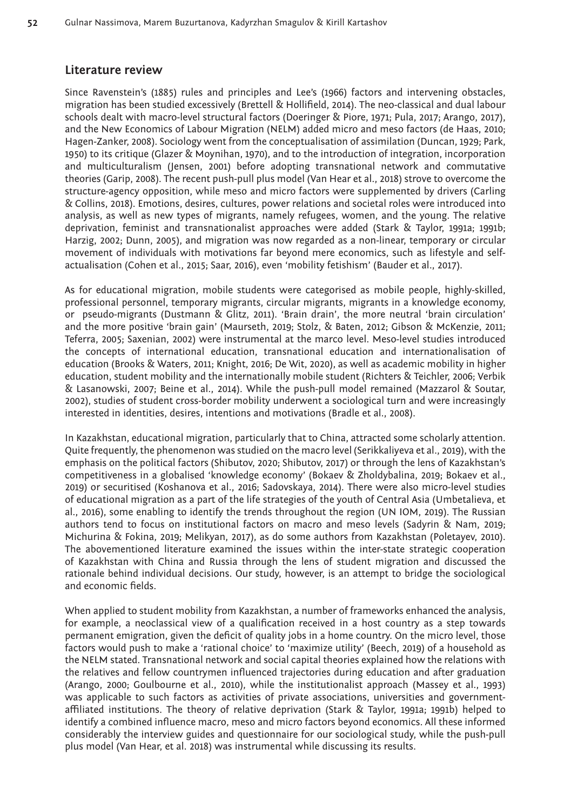## **Literature review**

Since Ravenstein's (1885) rules and principles and Lee's (1966) factors and intervening obstacles, migration has been studied excessively (Brettell & Hollifield, 2014). The neo-classical and dual labour schools dealt with macro-level structural factors (Doeringer & Piore, 1971; Pula, 2017; Arango, 2017), and the New Economics of Labour Migration (NELM) added micro and meso factors (de Haas, 2010; Hagen-Zanker, 2008). Sociology went from the conceptualisation of assimilation (Duncan, 1929; Park, 1950) to its critique (Glazer & Moynihan, 1970), and to the introduction of integration, incorporation and multiculturalism (Jensen, 2001) before adopting transnational network and commutative theories (Garip, 2008). The recent push-pull plus model (Van Hear et al., 2018) strove to overcome the structure-agency opposition, while meso and micro factors were supplemented by drivers (Carling & Collins, 2018). Emotions, desires, cultures, power relations and societal roles were introduced into analysis, as well as new types of migrants, namely refugees, women, and the young. The relative deprivation, feminist and transnationalist approaches were added (Stark & Taylor, 1991a; 1991b; Harzig, 2002; Dunn, 2005), and migration was now regarded as a non-linear, temporary or circular movement of individuals with motivations far beyond mere economics, such as lifestyle and selfactualisation (Cohen et al., 2015; Saar, 2016), even 'mobility fetishism' (Bauder et al., 2017).

As for educational migration, mobile students were categorised as mobile people, highly-skilled, professional personnel, temporary migrants, circular migrants, migrants in a knowledge economy, or pseudo-migrants (Dustmann & Glitz, 2011). 'Brain drain', the more neutral 'brain circulation' and the more positive 'brain gain' (Maurseth, 2019; Stolz, & Baten, 2012; Gibson & McKenzie, 2011; Teferra, 2005; Saxenian, 2002) were instrumental at the marco level. Meso-level studies introduced the concepts of international education, transnational education and internationalisation of education (Brooks & Waters, 2011; Knight, 2016; De Wit, 2020), as well as academic mobility in higher education, student mobility and the internationally mobile student (Richters & Teichler, 2006; Verbik & Lasanowski, 2007; Beine et al., 2014). While the push-pull model remained (Mazzarol & Soutar, 2002), studies of student cross-border mobility underwent a sociological turn and were increasingly interested in identities, desires, intentions and motivations (Bradle et al., 2008).

In Kazakhstan, educational migration, particularly that to China, attracted some scholarly attention. Quite frequently, the phenomenon was studied on the macro level (Serikkaliyeva et al., 2019), with the emphasis on the political factors (Shibutov, 2020; Shibutov, 2017) or through the lens of Kazakhstan's competitiveness in a globalised 'knowledge economy' (Bokaev & Zholdybalina, 2019; Bokaev et al., 2019) or securitised (Koshanova et al., 2016; Sadovskaya, 2014). There were also micro-level studies of educational migration as a part of the life strategies of the youth of Central Asia (Umbetalieva, et al., 2016), some enabling to identify the trends throughout the region (UN IOM, 2019). The Russian authors tend to focus on institutional factors on macro and meso levels (Sadyrin & Nam, 2019; Michurina & Fokina, 2019; Melikyan, 2017), as do some authors from Kazakhstan (Poletayev, 2010). The abovementioned literature examined the issues within the inter-state strategic cooperation of Kazakhstan with China and Russia through the lens of student migration and discussed the rationale behind individual decisions. Our study, however, is an attempt to bridge the sociological and economic fields.

When applied to student mobility from Kazakhstan, a number of frameworks enhanced the analysis, for example, a neoclassical view of a qualification received in a host country as a step towards permanent emigration, given the deficit of quality jobs in a home country. On the micro level, those factors would push to make a 'rational choice' to 'maximize utility' (Beech, 2019) of a household as the NELM stated. Transnational network and social capital theories explained how the relations with the relatives and fellow countrymen influenced trajectories during education and after graduation (Arango, 2000; Goulbourne et al., 2010), while the institutionalist approach (Massey et al., 1993) was applicable to such factors as activities of private associations, universities and governmentaffiliated institutions. The theory of relative deprivation (Stark & Taylor, 1991a; 1991b) helped to identify a combined influence macro, meso and micro factors beyond economics. All these informed considerably the interview guides and questionnaire for our sociological study, while the push-pull plus model (Van Hear, et al. 2018) was instrumental while discussing its results.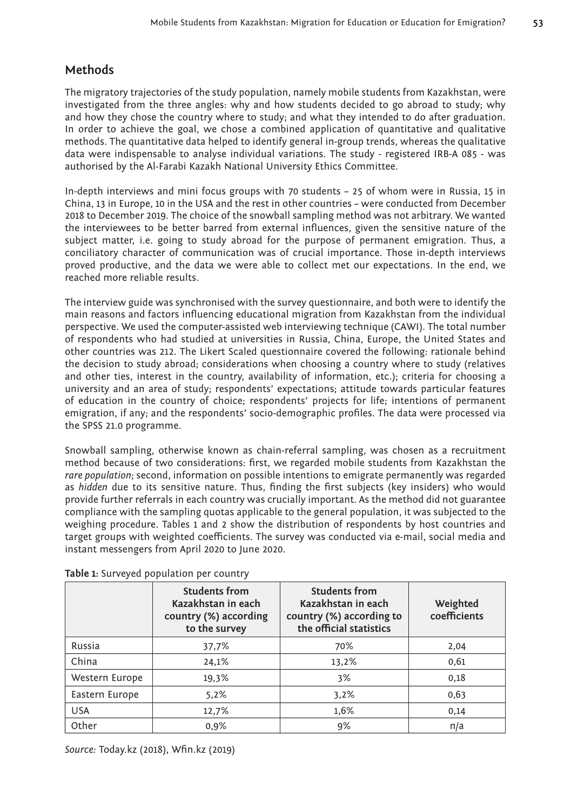## **Methods**

The migratory trajectories of the study population, namely mobile students from Kazakhstan, were investigated from the three angles: why and how students decided to go abroad to study; why and how they chose the country where to study; and what they intended to do after graduation. In order to achieve the goal, we chose a combined application of quantitative and qualitative methods. The quantitative data helped to identify general in-group trends, whereas the qualitative data were indispensable to analyse individual variations. The study - registered IRB-A 085 - was authorised by the Al-Farabi Kazakh National University Ethics Committee.

In-depth interviews and mini focus groups with 70 students – 25 of whom were in Russia, 15 in China, 13 in Europe, 10 in the USA and the rest in other countries – were conducted from December 2018 to December 2019. The choice of the snowball sampling method was not arbitrary. We wanted the interviewees to be better barred from external influences, given the sensitive nature of the subject matter, i.e. going to study abroad for the purpose of permanent emigration. Thus, a conciliatory character of communication was of crucial importance. Those in-depth interviews proved productive, and the data we were able to collect met our expectations. In the end, we reached more reliable results.

The interview guide was synchronised with the survey questionnaire, and both were to identify the main reasons and factors influencing educational migration from Kazakhstan from the individual perspective. We used the computer-assisted web interviewing technique (CAWI). The total number of respondents who had studied at universities in Russia, China, Europe, the United States and other countries was 212. The Likert Scaled questionnaire covered the following: rationale behind the decision to study abroad; considerations when choosing a country where to study (relatives and other ties, interest in the country, availability of information, etc.); criteria for choosing a university and an area of study; respondents' expectations; attitude towards particular features of education in the country of choice; respondents' projects for life; intentions of permanent emigration, if any; and the respondents' socio-demographic profiles. The data were processed via the SPSS 21.0 programme.

Snowball sampling, otherwise known as chain-referral sampling, was chosen as a recruitment method because of two considerations: first, we regarded mobile students from Kazakhstan the *rare population*; second, information on possible intentions to emigrate permanently was regarded as *hidden* due to its sensitive nature. Thus, finding the first subjects (key insiders) who would provide further referrals in each country was crucially important. As the method did not guarantee compliance with the sampling quotas applicable to the general population, it was subjected to the weighing procedure. Tables 1 and 2 show the distribution of respondents by host countries and target groups with weighted coefficients. The survey was conducted via e-mail, social media and instant messengers from April 2020 to June 2020.

|                | <b>Students from</b><br>Kazakhstan in each<br>country (%) according<br>to the survey | <b>Students from</b><br>Kazakhstan in each<br>country (%) according to<br>the official statistics | Weighted<br>coefficients |
|----------------|--------------------------------------------------------------------------------------|---------------------------------------------------------------------------------------------------|--------------------------|
| Russia         | 37,7%                                                                                | 70%                                                                                               | 2,04                     |
| China          | 24,1%                                                                                | 13,2%                                                                                             | 0,61                     |
| Western Europe | 19,3%                                                                                | 3%                                                                                                | 0,18                     |
| Eastern Europe | 5.2%                                                                                 | 3,2%                                                                                              | 0,63                     |
| <b>USA</b>     | 12,7%                                                                                | 1,6%                                                                                              | 0,14                     |
| Other          | 0,9%                                                                                 | 9%                                                                                                | n/a                      |

**Table 1:** Surveyed population per country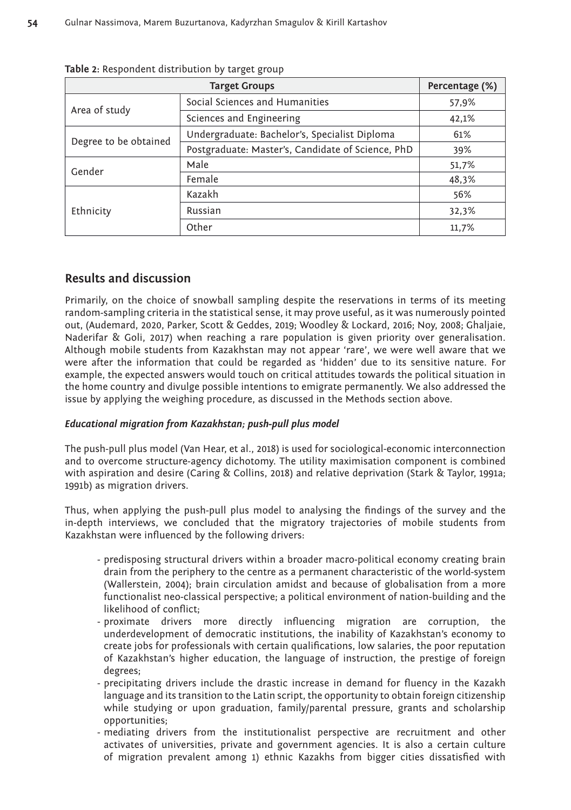|                       | Percentage (%)                                    |       |
|-----------------------|---------------------------------------------------|-------|
| Area of study         | Social Sciences and Humanities                    | 57,9% |
|                       | Sciences and Engineering                          | 42,1% |
|                       | Undergraduate: Bachelor's, Specialist Diploma     | 61%   |
| Degree to be obtained | Postgraduate: Master's, Candidate of Science, PhD | 39%   |
| Gender                | Male                                              | 51,7% |
|                       | Female                                            | 48,3% |
|                       | Kazakh                                            | 56%   |
| Ethnicity             | Russian                                           | 32,3% |
|                       | Other                                             | 11,7% |

**Table 2:** Respondent distribution by target group

## **Results and discussion**

Primarily, on the choice of snowball sampling despite the reservations in terms of its meeting random-sampling criteria in the statistical sense, it may prove useful, as it was numerously pointed out, (Audemard, 2020, Parker, Scott & Geddes, 2019; Woodley & Lockard, 2016; Noy, 2008; Ghaljaie, Naderifar & Goli, 2017) when reaching a rare population is given priority over generalisation. Although mobile students from Kazakhstan may not appear 'rare', we were well aware that we were after the information that could be regarded as 'hidden' due to its sensitive nature. For example, the expected answers would touch on critical attitudes towards the political situation in the home country and divulge possible intentions to emigrate permanently. We also addressed the issue by applying the weighing procedure, as discussed in the Methods section above.

#### *Educational migration from Kazakhstan; push-pull plus model*

The push-pull plus model (Van Hear, et al., 2018) is used for sociological-economic interconnection and to overcome structure-agency dichotomy. The utility maximisation component is combined with aspiration and desire (Caring & Collins, 2018) and relative deprivation (Stark & Taylor, 1991a; 1991b) as migration drivers.

Thus, when applying the push-pull plus model to analysing the findings of the survey and the in-depth interviews, we concluded that the migratory trajectories of mobile students from Kazakhstan were influenced by the following drivers:

- predisposing structural drivers within a broader macro-political economy creating brain drain from the periphery to the centre as a permanent characteristic of the world-system (Wallerstein, 2004); brain circulation amidst and because of globalisation from a more functionalist neo-classical perspective; a political environment of nation-building and the likelihood of conflict;
- proximate drivers more directly influencing migration are corruption, the underdevelopment of democratic institutions, the inability of Kazakhstan's economy to create jobs for professionals with certain qualifications, low salaries, the poor reputation of Kazakhstan's higher education, the language of instruction, the prestige of foreign degrees;
- precipitating drivers include the drastic increase in demand for fluency in the Kazakh language and its transition to the Latin script, the opportunity to obtain foreign citizenship while studying or upon graduation, family/parental pressure, grants and scholarship opportunities;
- mediating drivers from the institutionalist perspective are recruitment and other activates of universities, private and government agencies. It is also a certain culture of migration prevalent among 1) ethnic Kazakhs from bigger cities dissatisfied with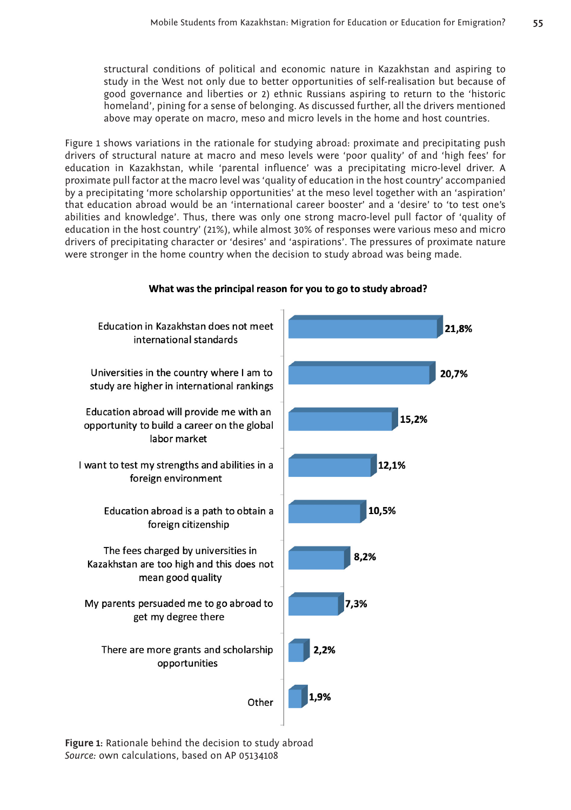structural conditions of political and economic nature in Kazakhstan and aspiring to study in the West not only due to better opportunities of self-realisation but because of good governance and liberties or 2) ethnic Russians aspiring to return to the 'historic homeland', pining for a sense of belonging. As discussed further, all the drivers mentioned above may operate on macro, meso and micro levels in the home and host countries.

Figure 1 shows variations in the rationale for studying abroad: proximate and precipitating push drivers of structural nature at macro and meso levels were 'poor quality' of and 'high fees' for education in Kazakhstan, while 'parental influence' was a precipitating micro-level driver. A proximate pull factor at the macro level was 'quality of education in the host country' accompanied by a precipitating 'more scholarship opportunities' at the meso level together with an 'aspiration' that education abroad would be an 'international career booster' and a 'desire' to 'to test one's abilities and knowledge'. Thus, there was only one strong macro-level pull factor of 'quality of education in the host country' (21%), while almost 30% of responses were various meso and micro drivers of precipitating character or 'desires' and 'aspirations'. The pressures of proximate nature were stronger in the home country when the decision to study abroad was being made.



#### What was the principal reason for you to go to study abroad?

**Figure 1:** Rationale behind the decision to study abroad *Source:* own calculations, based on AP 05134108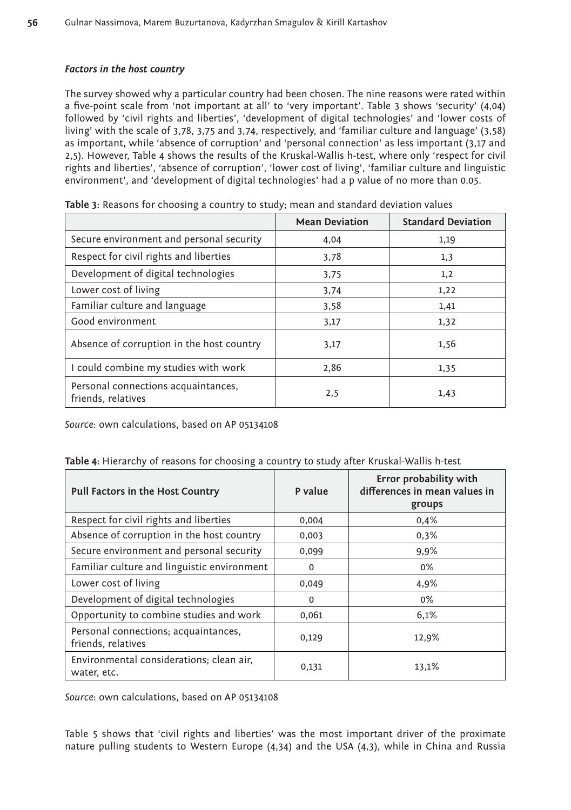#### *Factors in the host country*

The survey showed why a particular country had been chosen. The nine reasons were rated within a five-point scale from 'not important at all' to 'very important'. Table 3 shows 'security' (4,04) followed by 'civil rights and liberties', 'development of digital technologies' and 'lower costs of living' with the scale of 3,78, 3,75 and 3,74, respectively, and 'familiar culture and language' (3,58) as important, while 'absence of corruption' and 'personal connection' as less important (3,17 and 2,5). However, Table 4 shows the results of the Kruskal-Wallis h-test, where only 'respect for civil rights and liberties', 'absence of corruption', 'lower cost of living', 'familiar culture and linguistic environment', and 'development of digital technologies' had a p value of no more than 0.05.

|                                                           | <b>Mean Deviation</b> | <b>Standard Deviation</b> |
|-----------------------------------------------------------|-----------------------|---------------------------|
| Secure environment and personal security                  | 4,04                  | 1,19                      |
| Respect for civil rights and liberties                    | 3.78                  | 1,3                       |
| Development of digital technologies                       | 3,75                  | 1,2                       |
| Lower cost of living                                      | 3,74                  | 1,22                      |
| Familiar culture and language                             | 3,58                  | 1,41                      |
| Good environment                                          | 3,17                  | 1,32                      |
| Absence of corruption in the host country                 | 3,17                  | 1,56                      |
| I could combine my studies with work                      | 2,86                  | 1,35                      |
| Personal connections acquaintances,<br>friends, relatives | 2,5                   | 1,43                      |

|  | Table 3: Reasons for choosing a country to study; mean and standard deviation values |  |
|--|--------------------------------------------------------------------------------------|--|
|--|--------------------------------------------------------------------------------------|--|

*Source*: own calculations, based on AP 05134108

|  |  |  |  | Table 4: Hierarchy of reasons for choosing a country to study after Kruskal-Wallis h-test |
|--|--|--|--|-------------------------------------------------------------------------------------------|
|--|--|--|--|-------------------------------------------------------------------------------------------|

| Pull Factors in the Host Country                           | P value  | Error probability with<br>differences in mean values in<br>groups |
|------------------------------------------------------------|----------|-------------------------------------------------------------------|
| Respect for civil rights and liberties                     | 0,004    | 0,4%                                                              |
| Absence of corruption in the host country                  | 0,003    | 0.3%                                                              |
| Secure environment and personal security                   | 0,099    | 9,9%                                                              |
| Familiar culture and linguistic environment                | $\Omega$ | $0\%$                                                             |
| Lower cost of living                                       | 0,049    | 4,9%                                                              |
| Development of digital technologies                        | $\Omega$ | $0\%$                                                             |
| Opportunity to combine studies and work                    | 0,061    | 6,1%                                                              |
| Personal connections; acquaintances,<br>friends, relatives | 0,129    | 12,9%                                                             |
| Environmental considerations; clean air,<br>water, etc.    | 0,131    | 13,1%                                                             |

*Source*: own calculations, based on AP 05134108

Table 5 shows that 'civil rights and liberties' was the most important driver of the proximate nature pulling students to Western Europe (4,34) and the USA (4,3), while in China and Russia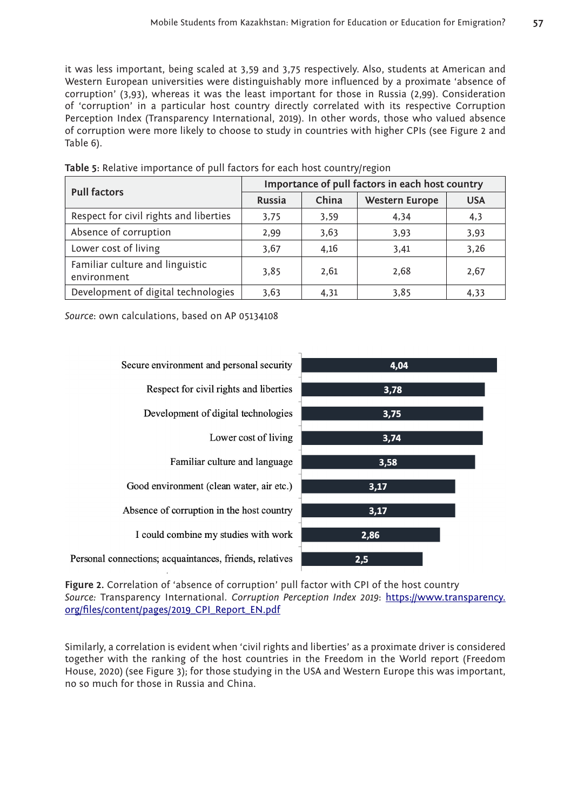it was less important, being scaled at 3,59 and 3,75 respectively. Also, students at American and Western European universities were distinguishably more influenced by a proximate 'absence of corruption' (3,93), whereas it was the least important for those in Russia (2,99). Consideration of 'corruption' in a particular host country directly correlated with its respective Corruption Perception Index (Transparency International, 2019). In other words, those who valued absence of corruption were more likely to choose to study in countries with higher CPIs (see Figure 2 and Table 6).

| <b>Pull factors</b>                            | Importance of pull factors in each host country |       |                       |            |  |
|------------------------------------------------|-------------------------------------------------|-------|-----------------------|------------|--|
|                                                | Russia                                          | China | <b>Western Europe</b> | <b>USA</b> |  |
| Respect for civil rights and liberties         | 3.75                                            | 3,59  | 4,34                  | 4,3        |  |
| Absence of corruption                          | 2,99                                            | 3.63  | 3,93                  | 3,93       |  |
| Lower cost of living                           | 3,67                                            | 4,16  | 3,41                  | 3,26       |  |
| Familiar culture and linguistic<br>environment | 3.85                                            | 2,61  | 2,68                  | 2,67       |  |
| Development of digital technologies            | 3.63                                            | 4.31  | 3.85                  | 4,33       |  |

**Table 5:** Relative importance of pull factors for each host country/region

*Source*: own calculations, based on AP 05134108



**Figure 2.** Correlation of 'absence of corruption' pull factor with CPI of the host country *Source:* Transparency International. *Corruption Perception Index 2019*: [https://www.transparency.](https://www.transparency.org/files/content/pages/2019_CPI_Report_EN.pdf) [org/files/content/pages/2019\\_CPI\\_Report\\_EN.pdf](https://www.transparency.org/files/content/pages/2019_CPI_Report_EN.pdf)

Similarly, a correlation is evident when 'civil rights and liberties' as a proximate driver is considered together with the ranking of the host countries in the Freedom in the World report (Freedom House, 2020) (see Figure 3); for those studying in the USA and Western Europe this was important, no so much for those in Russia and China.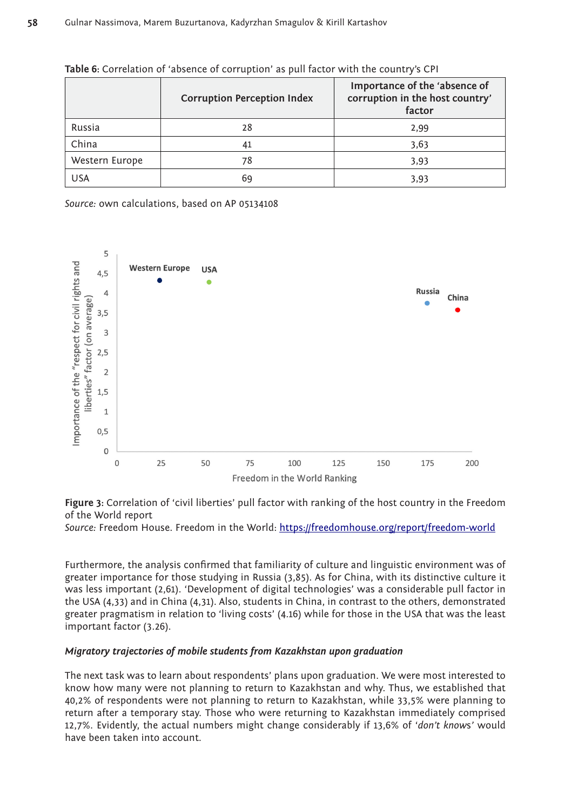|                | <b>Corruption Perception Index</b> | Importance of the 'absence of<br>corruption in the host country'<br>factor |
|----------------|------------------------------------|----------------------------------------------------------------------------|
| Russia         | 28                                 | 2,99                                                                       |
| China          | 41                                 | 3,63                                                                       |
| Western Europe | 78                                 | 3,93                                                                       |
| USA            | 69                                 | 3.93                                                                       |

**Table 6:** Correlation of 'absence of corruption' as pull factor with the country's CPI

*Source:* own calculations, based on AP 05134108



**Figure 3:** Correlation of 'civil liberties' pull factor with ranking of the host country in the Freedom of the World report

*Source:* Freedom House. Freedom in the World:<https://freedomhouse.org/report/freedom-world>

Furthermore, the analysis confirmed that familiarity of culture and linguistic environment was of greater importance for those studying in Russia (3,85). As for China, with its distinctive culture it was less important (2,61). 'Development of digital technologies' was a considerable pull factor in the USA (4,33) and in China (4,31). Also, students in China, in contrast to the others, demonstrated greater pragmatism in relation to 'living costs' (4.16) while for those in the USA that was the least important factor (3.26).

#### *Migratory trajectories of mobile students from Kazakhstan upon graduation*

The next task was to learn about respondents' plans upon graduation. We were most interested to know how many were not planning to return to Kazakhstan and why. Thus, we established that 40,2% of respondents were not planning to return to Kazakhstan, while 33,5% were planning to return after a temporary stay. Those who were returning to Kazakhstan immediately comprised 12,7%. Evidently, the actual numbers might change considerably if 13,6% of '*don't know*s*'* would have been taken into account.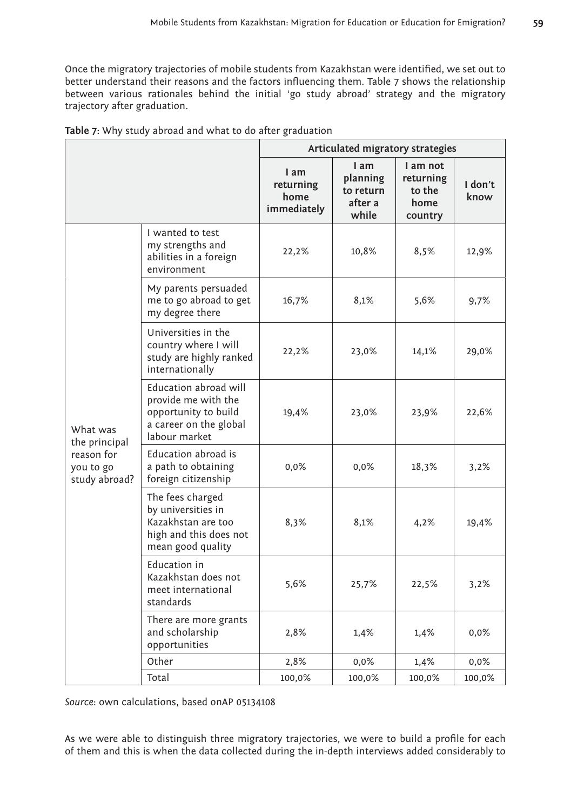Once the migratory trajectories of mobile students from Kazakhstan were identified, we set out to better understand their reasons and the factors influencing them. Table 7 shows the relationship between various rationales behind the initial 'go study abroad' strategy and the migratory trajectory after graduation.

|                                                                       |                                                                                                                 | Articulated migratory strategies         |                                                   |                                                    |                 |
|-----------------------------------------------------------------------|-----------------------------------------------------------------------------------------------------------------|------------------------------------------|---------------------------------------------------|----------------------------------------------------|-----------------|
|                                                                       |                                                                                                                 | 1 am<br>returning<br>home<br>immediately | I am<br>planning<br>to return<br>after a<br>while | I am not<br>returning<br>to the<br>home<br>country | I don't<br>know |
| What was<br>the principal<br>reason for<br>you to go<br>study abroad? | I wanted to test<br>my strengths and<br>abilities in a foreign<br>environment                                   | 22,2%                                    | 10,8%                                             | 8,5%                                               | 12,9%           |
|                                                                       | My parents persuaded<br>me to go abroad to get<br>my degree there                                               | 16,7%                                    | 8,1%                                              | 5,6%                                               | 9,7%            |
|                                                                       | Universities in the<br>country where I will<br>study are highly ranked<br>internationally                       | 22,2%                                    | 23,0%                                             | 14,1%                                              | 29,0%           |
|                                                                       | Education abroad will<br>provide me with the<br>opportunity to build<br>a career on the global<br>labour market | 19,4%                                    | 23,0%                                             | 23,9%                                              | 22,6%           |
|                                                                       | Education abroad is<br>a path to obtaining<br>foreign citizenship                                               | $0,0\%$                                  | $0,0\%$                                           | 18,3%                                              | 3,2%            |
|                                                                       | The fees charged<br>by universities in<br>Kazakhstan are too<br>high and this does not<br>mean good quality     | 8,3%                                     | 8,1%                                              | 4,2%                                               | 19,4%           |
|                                                                       | Education in<br>Kazakhstan does not<br>meet international<br>standards                                          | 5,6%                                     | 25,7%                                             | 22,5%                                              | 3,2%            |
|                                                                       | There are more grants<br>and scholarship<br>opportunities                                                       | 2,8%                                     | 1,4%                                              | 1,4%                                               | $0,0\%$         |
|                                                                       | Other                                                                                                           | 2,8%                                     | 0,0%                                              | 1,4%                                               | 0,0%            |
|                                                                       | Total                                                                                                           | 100,0%                                   | 100,0%                                            | 100,0%                                             | 100,0%          |

*Source*: own calculations, based onAP 05134108

As we were able to distinguish three migratory trajectories, we were to build a profile for each of them and this is when the data collected during the in-depth interviews added considerably to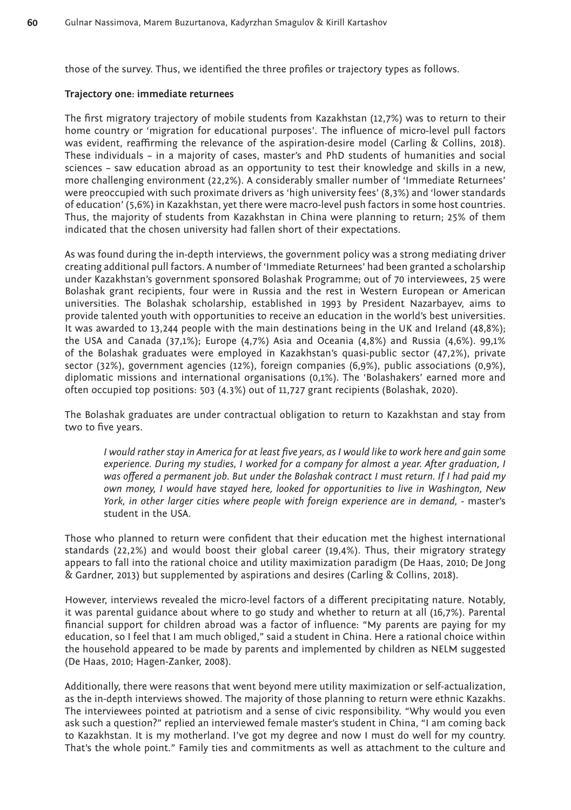those of the survey. Thus, we identified the three profiles or trajectory types as follows.

#### **Trajectory one: immediate returnees**

The first migratory trajectory of mobile students from Kazakhstan (12,7%) was to return to their home country or 'migration for educational purposes'. The influence of micro-level pull factors was evident, reaffirming the relevance of the aspiration-desire model (Carling & Collins, 2018). These individuals – in a majority of cases, master's and PhD students of humanities and social sciences – saw education abroad as an opportunity to test their knowledge and skills in a new, more challenging environment (22,2%). A considerably smaller number of 'Immediate Returnees' were preoccupied with such proximate drivers as 'high university fees' (8,3%) and 'lower standards of education' (5,6%) in Kazakhstan, yet there were macro-level push factors in some host countries. Thus, the majority of students from Kazakhstan in China were planning to return; 25% of them indicated that the chosen university had fallen short of their expectations.

As was found during the in-depth interviews, the government policy was a strong mediating driver creating additional pull factors. A number of 'Immediate Returnees' had been granted a scholarship under Kazakhstan's government sponsored Bolashak Programme; out of 70 interviewees, 25 were Bolashak grant recipients, four were in Russia and the rest in Western European or American universities. The Bolashak scholarship, established in 1993 by President Nazarbayev, aims to provide talented youth with opportunities to receive an education in the world's best universities. It was awarded to 13,244 people with the main destinations being in the UK and Ireland (48,8%); the USA and Canada (37,1%); Europe  $(4,7%)$  Asia and Oceania  $(4,8%)$  and Russia  $(4,6%)$ . 99,1% of the Bolashak graduates were employed in Kazakhstan's quasi-public sector (47,2%), private sector (32%), government agencies (12%), foreign companies (6,9%), public associations (0,9%), diplomatic missions and international organisations (0,1%). The 'Bolashakers' earned more and often occupied top positions: 503 (4.3%) out of 11,727 grant recipients (Bolashak, 2020).

The Bolashak graduates are under contractual obligation to return to Kazakhstan and stay from two to five years.

*I would rather stay in America for at least five years, as I would like to work here and gain some experience. During my studies, I worked for a company for almost a year. After graduation, I was offered a permanent job. But under the Bolashak contract I must return. If I had paid my own money, I would have stayed here, looked for opportunities to live in Washington, New*  York, in other larger cities where people with foreign experience are in demand, - master's student in the USA.

Those who planned to return were confident that their education met the highest international standards (22,2%) and would boost their global career (19,4%). Thus, their migratory strategy appears to fall into the rational choice and utility maximization paradigm (De Haas, 2010; De Jong & Gardner, 2013) but supplemented by aspirations and desires (Carling & Collins, 2018).

However, interviews revealed the micro-level factors of a different precipitating nature. Notably, it was parental guidance about where to go study and whether to return at all (16,7%). Parental financial support for children abroad was a factor of influence: "My parents are paying for my education, so I feel that I am much obliged," said a student in China. Here a rational choice within the household appeared to be made by parents and implemented by children as NELM suggested (De Haas, 2010; Hagen-Zanker, 2008).

Additionally, there were reasons that went beyond mere utility maximization or self-actualization, as the in-depth interviews showed. The majority of those planning to return were ethnic Kazakhs. The interviewees pointed at patriotism and a sense of civic responsibility. "Why would you even ask such a question?" replied an interviewed female master's student in China, "I am coming back to Kazakhstan. It is my motherland. I've got my degree and now I must do well for my country. That's the whole point." Family ties and commitments as well as attachment to the culture and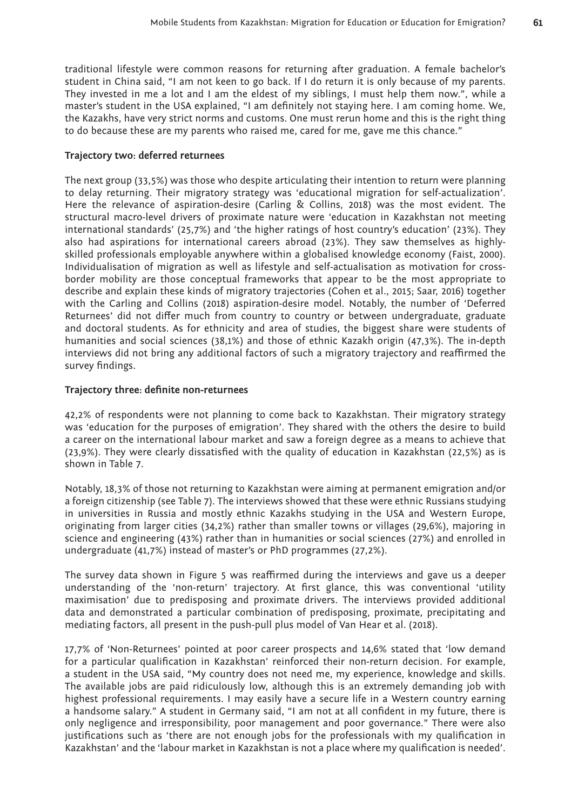traditional lifestyle were common reasons for returning after graduation. A female bachelor's student in China said, "I am not keen to go back. If I do return it is only because of my parents. They invested in me a lot and I am the eldest of my siblings, I must help them now.", while a master's student in the USA explained, "I am definitely not staying here. I am coming home. We, the Kazakhs, have very strict norms and customs. One must rerun home and this is the right thing to do because these are my parents who raised me, cared for me, gave me this chance."

#### **Trajectory two: deferred returnees**

The next group (33,5%) was those who despite articulating their intention to return were planning to delay returning. Their migratory strategy was 'educational migration for self-actualization'. Here the relevance of aspiration-desire (Carling & Collins, 2018) was the most evident. The structural macro-level drivers of proximate nature were 'education in Kazakhstan not meeting international standards' (25,7%) and 'the higher ratings of host country's education' (23%). They also had aspirations for international careers abroad (23%). They saw themselves as highlyskilled professionals employable anywhere within a globalised knowledge economy (Faist, 2000). Individualisation of migration as well as lifestyle and self-actualisation as motivation for crossborder mobility are those conceptual frameworks that appear to be the most appropriate to describe and explain these kinds of migratory trajectories (Cohen et al., 2015; Saar, 2016) together with the Carling and Collins (2018) aspiration-desire model. Notably, the number of 'Deferred Returnees' did not differ much from country to country or between undergraduate, graduate and doctoral students. As for ethnicity and area of studies, the biggest share were students of humanities and social sciences (38,1%) and those of ethnic Kazakh origin (47,3%). The in-depth interviews did not bring any additional factors of such a migratory trajectory and reaffirmed the survey findings.

#### **Trajectory three: definite non-returnees**

42,2% of respondents were not planning to come back to Kazakhstan. Their migratory strategy was 'education for the purposes of emigration'. They shared with the others the desire to build a career on the international labour market and saw a foreign degree as a means to achieve that (23,9%). They were clearly dissatisfied with the quality of education in Kazakhstan (22,5%) as is shown in Table 7.

Notably, 18,3% of those not returning to Kazakhstan were aiming at permanent emigration and/or a foreign citizenship (see Table 7). The interviews showed that these were ethnic Russians studying in universities in Russia and mostly ethnic Kazakhs studying in the USA and Western Europe, originating from larger cities (34,2%) rather than smaller towns or villages (29,6%), majoring in science and engineering (43%) rather than in humanities or social sciences (27%) and enrolled in undergraduate (41,7%) instead of master's or PhD programmes (27,2%).

The survey data shown in Figure 5 was reaffirmed during the interviews and gave us a deeper understanding of the 'non-return' trajectory. At first glance, this was conventional 'utility maximisation' due to predisposing and proximate drivers. The interviews provided additional data and demonstrated a particular combination of predisposing, proximate, precipitating and mediating factors, all present in the push-pull plus model of Van Hear et al. (2018).

17,7% of 'Non-Returnees' pointed at poor career prospects and 14,6% stated that 'low demand for a particular qualification in Kazakhstan' reinforced their non-return decision. For example, a student in the USA said, "My country does not need me, my experience, knowledge and skills. The available jobs are paid ridiculously low, although this is an extremely demanding job with highest professional requirements. I may easily have a secure life in a Western country earning a handsome salary." A student in Germany said, "I am not at all confident in my future, there is only negligence and irresponsibility, poor management and poor governance." There were also justifications such as 'there are not enough jobs for the professionals with my qualification in Kazakhstan' and the 'labour market in Kazakhstan is not a place where my qualification is needed'.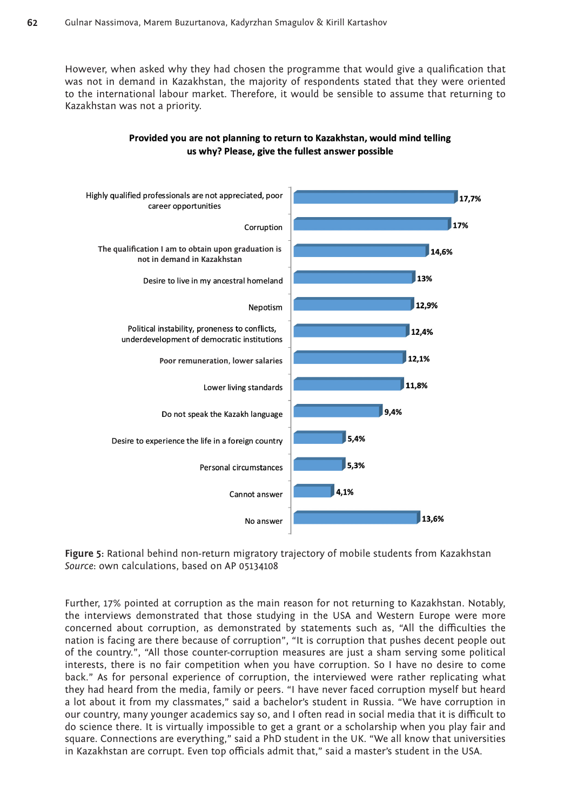However, when asked why they had chosen the programme that would give a qualification that was not in demand in Kazakhstan, the majority of respondents stated that they were oriented to the international labour market. Therefore, it would be sensible to assume that returning to Kazakhstan was not a priority.



#### Provided you are not planning to return to Kazakhstan, would mind telling us why? Please, give the fullest answer possible

**Figure 5:** Rational behind non-return migratory trajectory of mobile students from Kazakhstan *Source*: own calculations, based on AP 05134108

Further, 17% pointed at corruption as the main reason for not returning to Kazakhstan. Notably, the interviews demonstrated that those studying in the USA and Western Europe were more concerned about corruption, as demonstrated by statements such as, "All the difficulties the nation is facing are there because of corruption", "It is corruption that pushes decent people out of the country.", "All those counter-corruption measures are just a sham serving some political interests, there is no fair competition when you have corruption. So I have no desire to come back." As for personal experience of corruption, the interviewed were rather replicating what they had heard from the media, family or peers. "I have never faced corruption myself but heard a lot about it from my classmates," said a bachelor's student in Russia. "We have corruption in our country, many younger academics say so, and I often read in social media that it is difficult to do science there. It is virtually impossible to get a grant or a scholarship when you play fair and square. Connections are everything," said a PhD student in the UK. "We all know that universities in Kazakhstan are corrupt. Even top officials admit that," said a master's student in the USA.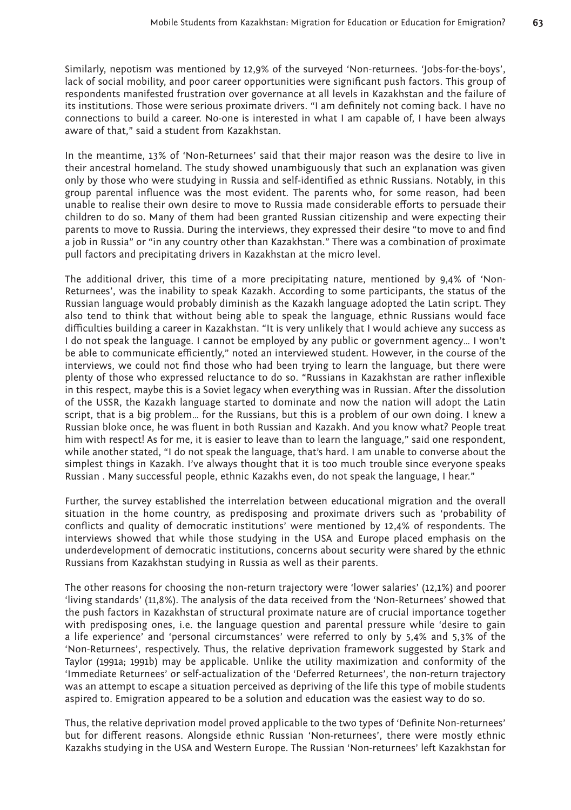Similarly, nepotism was mentioned by 12,9% of the surveyed 'Non-returnees. 'Jobs-for-the-boys', lack of social mobility, and poor career opportunities were significant push factors. This group of respondents manifested frustration over governance at all levels in Kazakhstan and the failure of its institutions. Those were serious proximate drivers. "I am definitely not coming back. I have no connections to build a career. No-one is interested in what I am capable of, I have been always aware of that," said a student from Kazakhstan.

In the meantime, 13% of 'Non-Returnees' said that their major reason was the desire to live in their ancestral homeland. The study showed unambiguously that such an explanation was given only by those who were studying in Russia and self-identified as ethnic Russians. Notably, in this group parental influence was the most evident. The parents who, for some reason, had been unable to realise their own desire to move to Russia made considerable efforts to persuade their children to do so. Many of them had been granted Russian citizenship and were expecting their parents to move to Russia. During the interviews, they expressed their desire "to move to and find a job in Russia" or "in any country other than Kazakhstan." There was a combination of proximate pull factors and precipitating drivers in Kazakhstan at the micro level.

The additional driver, this time of a more precipitating nature, mentioned by 9,4% of 'Non-Returnees', was the inability to speak Kazakh. According to some participants, the status of the Russian language would probably diminish as the Kazakh language adopted the Latin script. They also tend to think that without being able to speak the language, ethnic Russians would face difficulties building a career in Kazakhstan. "It is very unlikely that I would achieve any success as I do not speak the language. I cannot be employed by any public or government agency… I won't be able to communicate efficiently," noted an interviewed student. However, in the course of the interviews, we could not find those who had been trying to learn the language, but there were plenty of those who expressed reluctance to do so. "Russians in Kazakhstan are rather inflexible in this respect, maybe this is a Soviet legacy when everything was in Russian. After the dissolution of the USSR, the Kazakh language started to dominate and now the nation will adopt the Latin script, that is a big problem… for the Russians, but this is a problem of our own doing. I knew a Russian bloke once, he was fluent in both Russian and Kazakh. And you know what? People treat him with respect! As for me, it is easier to leave than to learn the language," said one respondent, while another stated, "I do not speak the language, that's hard. I am unable to converse about the simplest things in Kazakh. I've always thought that it is too much trouble since everyone speaks Russian . Many successful people, ethnic Kazakhs even, do not speak the language, I hear."

Further, the survey established the interrelation between educational migration and the overall situation in the home country, as predisposing and proximate drivers such as 'probability of conflicts and quality of democratic institutions' were mentioned by 12,4% of respondents. The interviews showed that while those studying in the USA and Europe placed emphasis on the underdevelopment of democratic institutions, concerns about security were shared by the ethnic Russians from Kazakhstan studying in Russia as well as their parents.

The other reasons for choosing the non-return trajectory were 'lower salaries' (12,1%) and poorer 'living standards' (11,8%). The analysis of the data received from the 'Non-Returnees' showed that the push factors in Kazakhstan of structural proximate nature are of crucial importance together with predisposing ones, i.e. the language question and parental pressure while 'desire to gain a life experience' and 'personal circumstances' were referred to only by 5,4% and 5,3% of the 'Non-Returnees', respectively. Thus, the relative deprivation framework suggested by Stark and Taylor (1991a; 1991b) may be applicable. Unlike the utility maximization and conformity of the 'Immediate Returnees' or self-actualization of the 'Deferred Returnees', the non-return trajectory was an attempt to escape a situation perceived as depriving of the life this type of mobile students aspired to. Emigration appeared to be a solution and education was the easiest way to do so.

Thus, the relative deprivation model proved applicable to the two types of 'Definite Non-returnees' but for different reasons. Alongside ethnic Russian 'Non-returnees', there were mostly ethnic Kazakhs studying in the USA and Western Europe. The Russian 'Non-returnees' left Kazakhstan for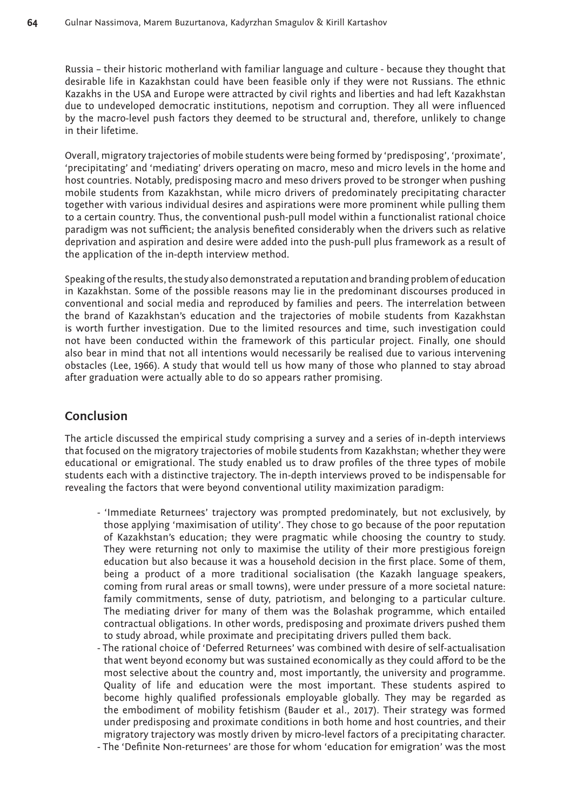Russia – their historic motherland with familiar language and culture - because they thought that desirable life in Kazakhstan could have been feasible only if they were not Russians. The ethnic Kazakhs in the USA and Europe were attracted by civil rights and liberties and had left Kazakhstan due to undeveloped democratic institutions, nepotism and corruption. They all were influenced by the macro-level push factors they deemed to be structural and, therefore, unlikely to change in their lifetime.

Overall, migratory trajectories of mobile students were being formed by 'predisposing', 'proximate', 'precipitating' and 'mediating' drivers operating on macro, meso and micro levels in the home and host countries. Notably, predisposing macro and meso drivers proved to be stronger when pushing mobile students from Kazakhstan, while micro drivers of predominately precipitating character together with various individual desires and aspirations were more prominent while pulling them to a certain country. Thus, the conventional push-pull model within a functionalist rational choice paradigm was not sufficient; the analysis benefited considerably when the drivers such as relative deprivation and aspiration and desire were added into the push-pull plus framework as a result of the application of the in-depth interview method.

Speaking of the results, the study also demonstrated a reputation and branding problem of education in Kazakhstan. Some of the possible reasons may lie in the predominant discourses produced in conventional and social media and reproduced by families and peers. The interrelation between the brand of Kazakhstan's education and the trajectories of mobile students from Kazakhstan is worth further investigation. Due to the limited resources and time, such investigation could not have been conducted within the framework of this particular project. Finally, one should also bear in mind that not all intentions would necessarily be realised due to various intervening obstacles (Lee, 1966). A study that would tell us how many of those who planned to stay abroad after graduation were actually able to do so appears rather promising.

### **Conclusion**

The article discussed the empirical study comprising a survey and a series of in-depth interviews that focused on the migratory trajectories of mobile students from Kazakhstan; whether they were educational or emigrational. The study enabled us to draw profiles of the three types of mobile students each with a distinctive trajectory. The in-depth interviews proved to be indispensable for revealing the factors that were beyond conventional utility maximization paradigm:

- 'Immediate Returnees' trajectory was prompted predominately, but not exclusively, by those applying 'maximisation of utility'. They chose to go because of the poor reputation of Kazakhstan's education; they were pragmatic while choosing the country to study. They were returning not only to maximise the utility of their more prestigious foreign education but also because it was a household decision in the first place. Some of them, being a product of a more traditional socialisation (the Kazakh language speakers, coming from rural areas or small towns), were under pressure of a more societal nature: family commitments, sense of duty, patriotism, and belonging to a particular culture. The mediating driver for many of them was the Bolashak programme, which entailed contractual obligations. In other words, predisposing and proximate drivers pushed them to study abroad, while proximate and precipitating drivers pulled them back.
- The rational choice of 'Deferred Returnees' was combined with desire of self-actualisation that went beyond economy but was sustained economically as they could afford to be the most selective about the country and, most importantly, the university and programme. Quality of life and education were the most important. These students aspired to become highly qualified professionals employable globally. They may be regarded as the embodiment of mobility fetishism (Bauder et al., 2017). Their strategy was formed under predisposing and proximate conditions in both home and host countries, and their migratory trajectory was mostly driven by micro-level factors of a precipitating character.
- The 'Definite Non-returnees' are those for whom 'education for emigration' was the most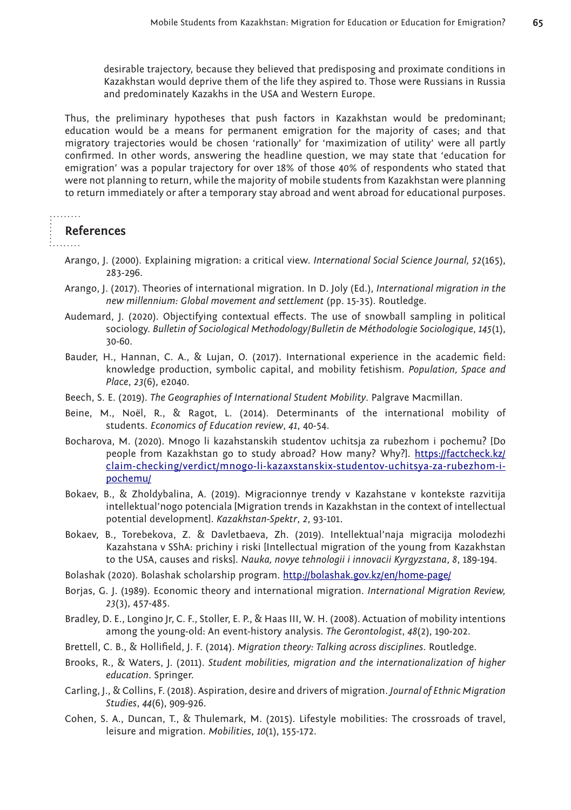desirable trajectory, because they believed that predisposing and proximate conditions in Kazakhstan would deprive them of the life they aspired to. Those were Russians in Russia and predominately Kazakhs in the USA and Western Europe.

Thus, the preliminary hypotheses that push factors in Kazakhstan would be predominant; education would be a means for permanent emigration for the majority of cases; and that migratory trajectories would be chosen 'rationally' for 'maximization of utility' were all partly confirmed. In other words, answering the headline question, we may state that 'education for emigration' was a popular trajectory for over 18% of those 40% of respondents who stated that were not planning to return, while the majority of mobile students from Kazakhstan were planning to return immediately or after a temporary stay abroad and went abroad for educational purposes.

## . . . . . . . .

#### **References**

- the common
	- Arango, J. (2000). Explaining migration: a critical view. *International Social Science Journal, 52*(165), 283-296.
	- Arango, J. (2017). Theories of international migration. In D. Joly (Ed.), *International migration in the new millennium: Global movement and settlement* (pp. 15-35). Routledge.
	- Audemard, J. (2020). Objectifying contextual effects. The use of snowball sampling in political sociology. *Bulletin of Sociological Methodology/Bulletin de Méthodologie Sociologique*, *145*(1), 30-60.
	- Bauder, H., Hannan, C. A., & Lujan, O. (2017). International experience in the academic field: knowledge production, symbolic capital, and mobility fetishism. *Population, Space and Place*, *23*(6), e2040.
	- Beech, S. E. (2019). *The Geographies of International Student Mobility*. Palgrave Macmillan.
	- Beine, M., Noël, R., & Ragot, L. (2014). Determinants of the international mobility of students. *Economics of Education review*, *41*, 40-54.
	- Bocharova, M. (2020). Mnogo li kazahstanskih studentov uchitsja za rubezhom i pochemu? [Do people from Kazakhstan go to study abroad? How many? Why?]. [https://factcheck.kz/](https://factcheck.kz/claim-checking/verdict/mnogo-li-kazaxstanskix-studentov-uchitsya-za-rubezhom-i-pochemu/) [claim-checking/verdict/mnogo-li-kazaxstanskix-studentov-uchitsya-za-rubezhom-i](https://factcheck.kz/claim-checking/verdict/mnogo-li-kazaxstanskix-studentov-uchitsya-za-rubezhom-i-pochemu/)[pochemu/](https://factcheck.kz/claim-checking/verdict/mnogo-li-kazaxstanskix-studentov-uchitsya-za-rubezhom-i-pochemu/)
	- Bokaev, B., & Zholdybalina, A. (2019). Migracionnye trendy v Kazahstane v kontekste razvitija intellektual'nogo potenciala [Migration trends in Kazakhstan in the context of intellectual potential development]. *Kazakhstan-Spektr*, *2*, 93-101.
	- Bokaev, B., Torebekova, Z. & Davletbaeva, Zh. (2019). Intellektual'naja migracija molodezhi Kazahstana v SShA: prichiny i riski [Intellectual migration of the young from Kazakhstan to the USA, causes and risks]. *Nauka, novye tehnologii i innovacii Kyrgyzstana*, *8*, 189-194.
	- Bolashak (2020). Bolashak scholarship program.<http://bolashak.gov.kz/en/home-page/>
	- Borjas, G. J. (1989). Economic theory and international migration. *International Migration Review, 23*(3), 457-485.
	- Bradley, D. E., Longino Jr, C. F., Stoller, E. P., & Haas III, W. H. (2008). Actuation of mobility intentions among the young-old: An event-history analysis. *The Gerontologist*, *48*(2), 190-202.
	- Brettell, C. B., & Hollifield, J. F. (2014). *Migration theory: Talking across disciplines*. Routledge.
	- Brooks, R., & Waters, J. (2011). *Student mobilities, migration and the internationalization of higher education*. Springer.
	- Carling, J., & Collins, F. (2018). Aspiration, desire and drivers of migration. *Journal of Ethnic Migration Studies*, *44*(6), 909-926.
	- Cohen, S. A., Duncan, T., & Thulemark, M. (2015). Lifestyle mobilities: The crossroads of travel, leisure and migration. *Mobilities*, *10*(1), 155-172.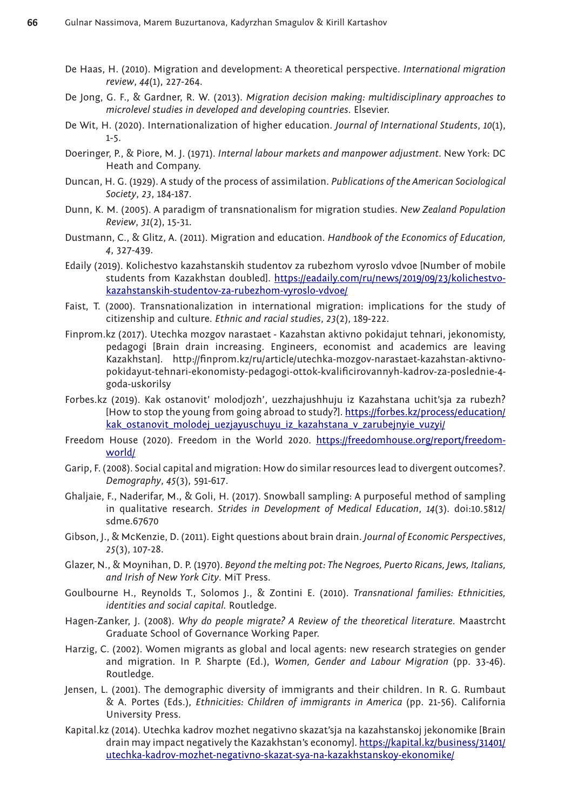- De Haas, H. (2010). Migration and development: A theoretical perspective. *International migration review*, *44*(1), 227-264.
- De Jong, G. F., & Gardner, R. W. (2013). *Migration decision making: multidisciplinary approaches to microlevel studies in developed and developing countries*. Elsevier.
- De Wit, H. (2020). Internationalization of higher education. *Journal of International Students*, *10*(1), 1-5.
- Doeringer, P., & Piore, M. J. (1971). *Internal labour markets and manpower adjustment.* New York: DC Heath and Company.
- Duncan, H. G. (1929). A study of the process of assimilation. *Publications of the American Sociological Society*, *23*, 184-187.
- Dunn, K. M. (2005). A paradigm of transnationalism for migration studies. *New Zealand Population Review*, *31*(2), 15-31.
- Dustmann, C., & Glitz, A. (2011). Migration and education. *Handbook of the Economics of Education, 4*, 327-439.
- Edaily (2019). Kolichestvo kazahstanskih studentov za rubezhom vyroslo vdvoe [Number of mobile students from Kazakhstan doubled]. [https://eadaily.com/ru/news/2019/09/23/kolichestvo](https://eadaily.com/ru/news/2019/09/23/kolichestvo-kazahstanskih-studentov-za-rubezhom-vyroslo-vdvoe/)[kazahstanskih-studentov-za-rubezhom-vyroslo-vdvoe/](https://eadaily.com/ru/news/2019/09/23/kolichestvo-kazahstanskih-studentov-za-rubezhom-vyroslo-vdvoe/)
- Faist, T. (2000). Transnationalization in international migration: implications for the study of citizenship and culture. *Ethnic and racial studies*, *23*(2), 189-222.
- Finprom.kz (2017). Utechka mozgov narastaet Kazahstan aktivno pokidajut tehnari, jekonomisty, pedagogi [Brain drain increasing. Engineers, economist and academics are leaving Kazakhstan]. [http://finprom.kz/ru/article/utechka-mozgov-narastaet-kazahstan-aktivno](http://finprom.kz/ru/article/utechka-mozgov-narastaet-kazahstan-aktivno-pokidayut-tehnari-ekonomisty-pedagogi-ottok-kvalificirovannyh-kadrov-za-poslednie-4-goda-uskorilsy)[pokidayut-tehnari-ekonomisty-pedagogi-ottok-kvalificirovannyh-kadrov-za-poslednie-4](http://finprom.kz/ru/article/utechka-mozgov-narastaet-kazahstan-aktivno-pokidayut-tehnari-ekonomisty-pedagogi-ottok-kvalificirovannyh-kadrov-za-poslednie-4-goda-uskorilsy) [goda-uskorilsy](http://finprom.kz/ru/article/utechka-mozgov-narastaet-kazahstan-aktivno-pokidayut-tehnari-ekonomisty-pedagogi-ottok-kvalificirovannyh-kadrov-za-poslednie-4-goda-uskorilsy)
- Forbes.kz (2019). Kak ostanovit' molodjozh', uezzhajushhuju iz Kazahstana uchit'sja za rubezh? [How to stop the young from going abroad to study?]. [https://forbes.kz/process/education/](https://forbes.kz/process/education/kak_ostanovit_molodej_uezjayuschuyu_iz_kazahstana_v_zarubejnyie_vuzyi/) [kak\\_ostanovit\\_molodej\\_uezjayuschuyu\\_iz\\_kazahstana\\_v\\_zarubejnyie\\_vuzyi/](https://forbes.kz/process/education/kak_ostanovit_molodej_uezjayuschuyu_iz_kazahstana_v_zarubejnyie_vuzyi/)
- Freedom House (2020). Freedom in the World 2020. [https://freedomhouse.org/report/freedom](https://freedomhouse.org/report/freedom-world/)[world/](https://freedomhouse.org/report/freedom-world/)
- Garip, F. (2008). Social capital and migration: How do similar resources lead to divergent outcomes?. *Demography*, *45*(3), 591-617.
- Ghaljaie, F., Naderifar, M., & Goli, H. (2017). Snowball sampling: A purposeful method of sampling in qualitative research. *Strides in Development of Medical Education*, *14*(3). doi:10.5812/ sdme.67670
- Gibson, J., & McKenzie, D. (2011). Eight questions about brain drain. *Journal of Economic Perspectives*, *25*(3), 107-28.
- Glazer, N., & Moynihan, D. P. (1970). *Beyond the melting pot: The Negroes, Puerto Ricans, Jews, Italians, and Irish of New York City*. MiT Press.
- Goulbourne H., Reynolds T., Solomos J., & Zontini E. (2010). *Transnational families: Ethnicities, identities and social capital.* Routledge.
- Hagen-Zanker, J. (2008). *Why do people migrate? A Review of the theoretical literature*. Maastrcht Graduate School of Governance Working Paper.
- Harzig, C. (2002). Women migrants as global and local agents: new research strategies on gender and migration. In P. Sharpte (Ed.), *Women, Gender and Labour Migration* (pp. 33-46). Routledge.
- Jensen, L. (2001). The demographic diversity of immigrants and their children. In R. G. Rumbaut & A. Portes (Eds.), *Ethnicities: Children of immigrants in America* (pp. 21-56). California University Press.
- Kapital.kz (2014). Utechka kadrov mozhet negativno skazat'sja na kazahstanskoj jekonomike [Brain drain may impact negatively the Kazakhstan's economy]. [https://kapital.kz/business/31401/](https://kapital.kz/business/31401/utechka-kadrov-mozhet-negativno-skazat-sya-na-kazakhstanskoy-ekonomike/) [utechka-kadrov-mozhet-negativno-skazat-sya-na-kazakhstanskoy-ekonomike/](https://kapital.kz/business/31401/utechka-kadrov-mozhet-negativno-skazat-sya-na-kazakhstanskoy-ekonomike/)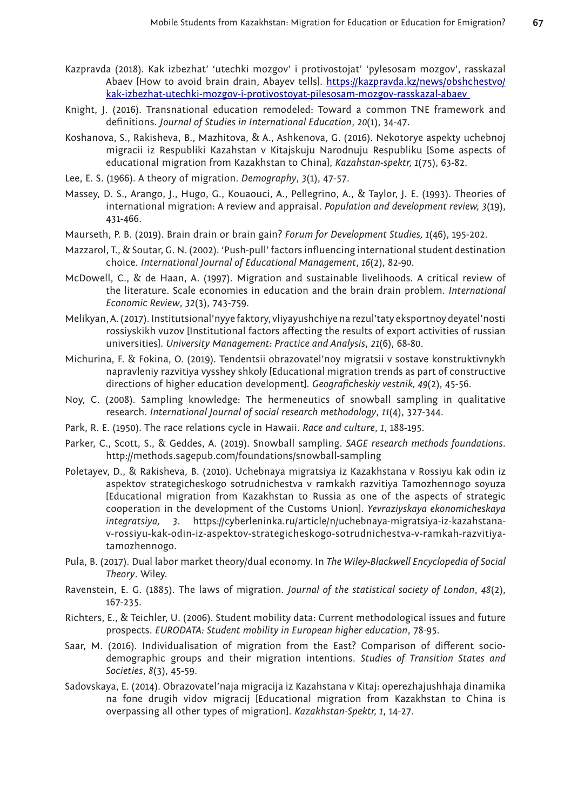- Kazpravda (2018). Kak izbezhat' 'utechki mozgov' i protivostojat' 'pylesosam mozgov', rasskazal Abaev [How to avoid brain drain, Abayev tells]. https://kazpravda.kz/news/obshchestvo/ kak-izbezhat-utechki-mozgov-i-protivostoyat-pilesosam-mozgov-rasskazal-abaev
- Knight, J. (2016). Transnational education remodeled: Toward a common TNE framework and definitions. *Journal of Studies in International Education*, *20*(1), 34-47.
- Koshanova, S., Rakisheva, B., Mazhitova, & A., Ashkenova, G. (2016). Nekotorye aspekty uchebnoj migracii iz Respubliki Kazahstan v Kitajskuju Narodnuju Respubliku [Some aspects of educational migration from Kazakhstan to China], *Kazahstan-spektr, 1*(75), 63-82.
- Lee, E. S. (1966). A theory of migration. *Demography*, *3*(1), 47-57.
- Massey, D. S., Arango, J., Hugo, G., Kouaouci, A., Pellegrino, A., & Taylor, J. E. (1993). Theories of international migration: A review and appraisal. *Population and development review, 3*(19), 431-466.
- Maurseth, P. B. (2019). Brain drain or brain gain? *Forum for Development Studies, 1*(46), 195-202.
- Mazzarol, T., & Soutar, G. N. (2002). 'Push-pull' factors influencing international student destination choice. *International Journal of Educational Management*, *16*(2), 82-90.
- McDowell, C., & de Haan, A. (1997). Migration and sustainable livelihoods. A critical review of the literature. Scale economies in education and the brain drain problem. *International Economic Review*, *32*(3), 743-759.
- Melikyan, A. (2017). Institutsional'nyye faktory, vliyayushchiye na rezul'taty eksportnoy deyatel'nosti rossiyskikh vuzov [Institutional factors affecting the results of export activities of russian universities]. *University Management: Practice and Analysis*, *21*(6), 68-80.
- Michurina, F. & Fokina, O. (2019). Tendentsii obrazovatel'noy migratsii v sostave konstruktivnykh napravleniy razvitiya vysshey shkoly [Educational migration trends as part of constructive directions of higher education development]. *Geograficheskiy vestnik, 49*(2), 45-56.
- Noy, C. (2008). Sampling knowledge: The hermeneutics of snowball sampling in qualitative research. *International Journal of social research methodology*, *11*(4), 327-344.
- Park, R. E. (1950). The race relations cycle in Hawaii. *Race and culture*, *1*, 188-195.
- Parker, C., Scott, S., & Geddes, A. (2019). Snowball sampling. *SAGE research methods foundations*. <http://methods.sagepub.com/foundations/snowball-sampling>
- Poletayev, D., & Rakisheva, B. (2010). Uchebnaya migratsiya iz Kazakhstana v Rossiyu kak odin iz aspektov strategicheskogo sotrudnichestva v ramkakh razvitiya Tamozhennogo soyuza [Educational migration from Kazakhstan to Russia as one of the aspects of strategic cooperation in the development of the Customs Union]. *Yevraziyskaya ekonomicheskaya integratsiya, 3*. https://cyberleninka.ru/article/n/uchebnaya-migratsiya-iz-kazahstanav-rossiyu-kak-odin-iz-aspektov-strategicheskogo-sotrudnichestva-v-ramkah-razvitiyatamozhennogo.
- Pula, B. (2017). Dual labor market theory/dual economy. In *The Wiley-Blackwell Encyclopedia of Social Theory*. Wiley.
- Ravenstein, E. G. (1885). The laws of migration. *Journal of the statistical society of London*, *48*(2), 167-235.
- Richters, E., & Teichler, U. (2006). Student mobility data: Current methodological issues and future prospects. *EURODATA: Student mobility in European higher education*, 78-95.
- Saar, M. (2016). Individualisation of migration from the East? Comparison of different sociodemographic groups and their migration intentions. *Studies of Transition States and Societies*, *8*(3), 45-59.
- Sadovskaya, E. (2014). Obrazovatel'naja migracija iz Kazahstana v Kitaj: operezhajushhaja dinamika na fone drugih vidov migracij [Educational migration from Kazakhstan to China is overpassing all other types of migration]. *Kazakhstan-Spektr, 1*, 14-27.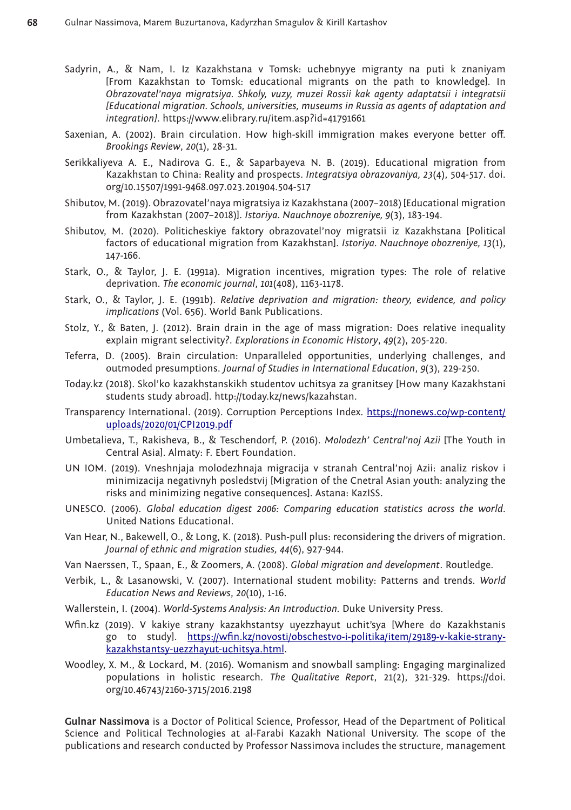- Sadyrin, A., & Nam, I. Iz Kazakhstana v Tomsk: uchebnyye migranty na puti k znaniyam [From Kazakhstan to Tomsk: educational migrants on the path to knowledge]. In *Obrazovatel'naya migratsiya. Shkoly, vuzy, muzei Rossii kak agenty adaptatsii i integratsii [Educational migration. Schools, universities, museums in Russia as agents of adaptation and integration]*.<https://www.elibrary.ru/item.asp?id=41791661>
- Saxenian, A. (2002). Brain circulation. How high-skill immigration makes everyone better off. *Brookings Review*, *20*(1), 28-31.
- Serikkaliyeva A. E., Nadirova G. E., & Saparbayeva N. B. (2019). Educational migration from Kazakhstan to China: Reality and prospects. *Integratsiya obrazovaniya, 23*(4), 504-517. doi. org/10.15507/1991-9468.097.023.201904.504-517
- Shibutov, M. (2019). Obrazovatel'naya migratsiya iz Kazakhstana (2007–2018) [Educational migration from Kazakhstan (2007–2018)]. *Istoriya. Nauchnoye obozreniye, 9*(3), 183-194.
- Shibutov, M. (2020). Politicheskiye faktory obrazovatel'noy migratsii iz Kazakhstana [Political factors of educational migration from Kazakhstan]. *Istoriya. Nauchnoye obozreniye, 13*(1), 147-166.
- Stark, O., & Taylor, J. E. (1991a). Migration incentives, migration types: The role of relative deprivation. *The economic journal*, *101*(408), 1163-1178.
- Stark, O., & Taylor, J. E. (1991b). *Relative deprivation and migration: theory, evidence, and policy implications* (Vol. 656). World Bank Publications.
- Stolz, Y., & Baten, J. (2012). Brain drain in the age of mass migration: Does relative inequality explain migrant selectivity?. *Explorations in Economic History*, *49*(2), 205-220.
- Teferra, D. (2005). Brain circulation: Unparalleled opportunities, underlying challenges, and outmoded presumptions. *Journal of Studies in International Education*, *9*(3), 229-250.
- Today.kz (2018). Skol'ko kazakhstanskikh studentov uchitsya za granitsey [How many Kazakhstani students study abroad]. [http://today.kz/news/kazahstan.](http://today.kz/news/kazahstan)
- Transparency International. (2019). Corruption Perceptions Index. [https://nonews.co/wp-content/](https://nonews.co/wp-content/uploads/2020/01/CPI2019.pdf) [uploads/2020/01/CPI2019.pdf](https://nonews.co/wp-content/uploads/2020/01/CPI2019.pdf)
- Umbetalieva, T., Rakisheva, B., & Teschendorf, P. (2016). *Molodezh' Central'noj Azii* [The Youth in Central Asia]. Almaty: F. Ebert Foundation.
- UN IOM. (2019). Vneshnjaja molodezhnaja migracija v stranah Central'noj Azii: analiz riskov i minimizacija negativnyh posledstvij [Migration of the Cnetral Asian youth: analyzing the risks and minimizing negative consequences]. Astana: KazISS.
- UNESCO. (2006). *Global education digest 2006: Comparing education statistics across the world*. United Nations Educational.
- Van Hear, N., Bakewell, O., & Long, K. (2018). Push-pull plus: reconsidering the drivers of migration. *Journal of ethnic and migration studies, 44*(6), 927-944.
- Van Naerssen, T., Spaan, E., & Zoomers, A. (2008). *Global migration and development*. Routledge.
- Verbik, L., & Lasanowski, V. (2007). International student mobility: Patterns and trends. *World Education News and Reviews*, *20*(10), 1-16.
- Wallerstein, I. (2004). *World-Systems Analysis: An Introduction.* Duke University Press.
- Wfin.kz (2019). V kakiye strany kazakhstantsy uyezzhayut uchit'sya [Where do Kazakhstanis go to study]. [https://wfin.kz/novosti/obschestvo-i-politika/item/29189-v-kakie-strany](https://wfin.kz/novosti/obschestvo-i-politika/item/29189-v-kakie-strany-kazakhstantsy-uezzhayut-uchitsya.html)[kazakhstantsy-uezzhayut-uchitsya.html.](https://wfin.kz/novosti/obschestvo-i-politika/item/29189-v-kakie-strany-kazakhstantsy-uezzhayut-uchitsya.html)
- Woodley, X. M., & Lockard, M. (2016). Womanism and snowball sampling: Engaging marginalized populations in holistic research. *The Qualitative Report*, 21(2), 321-329. [https://doi.](https://doi.org/10.46743/2160-3715/2016.2198) [org/10.46743/2160-3715/2016.2198](https://doi.org/10.46743/2160-3715/2016.2198)

**Gulnar Nassimova** is a Doctor of Political Science, Professor, Head of the Department of Political Science and Political Technologies at al-Farabi Kazakh National University. The scope of the publications and research conducted by Professor Nassimova includes the structure, management